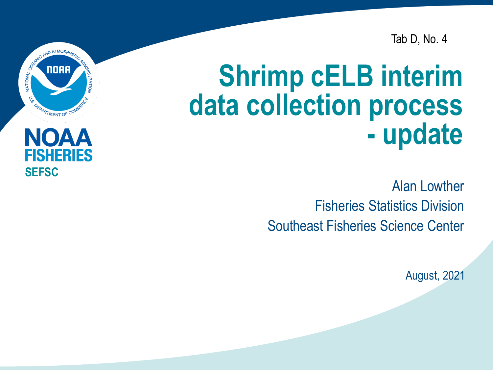Tab D, No. 4

# **Shrimp cELB interim data collection process - update**

Alan Lowther Fisheries Statistics Division Southeast Fisheries Science Center

August, 2021



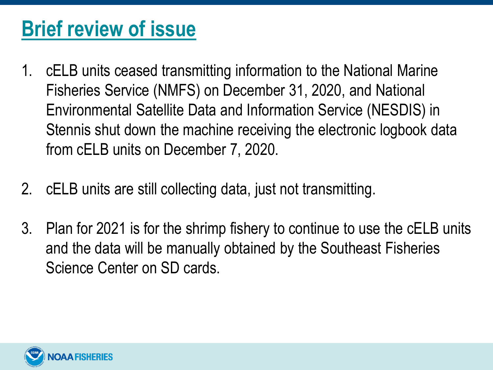### **Brief review of issue**

- 1. cELB units ceased transmitting information to the National Marine Fisheries Service (NMFS) on December 31, 2020, and National Environmental Satellite Data and Information Service (NESDIS) in Stennis shut down the machine receiving the electronic logbook data from cELB units on December 7, 2020.
- 2. cELB units are still collecting data, just not transmitting.
- 3. Plan for 2021 is for the shrimp fishery to continue to use the cELB units and the data will be manually obtained by the Southeast Fisheries Science Center on SD cards.

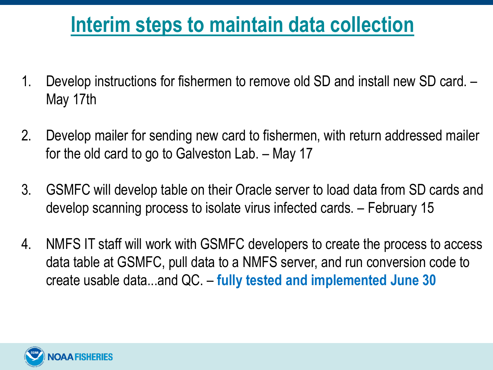### **Interim steps to maintain data collection**

- 1. Develop instructions for fishermen to remove old SD and install new SD card. May 17th
- 2. Develop mailer for sending new card to fishermen, with return addressed mailer for the old card to go to Galveston Lab. – May 17
- 3. GSMFC will develop table on their Oracle server to load data from SD cards and develop scanning process to isolate virus infected cards. – February 15
- 4. NMFS IT staff will work with GSMFC developers to create the process to access data table at GSMFC, pull data to a NMFS server, and run conversion code to create usable data...and QC. – **fully tested and implemented June 30**

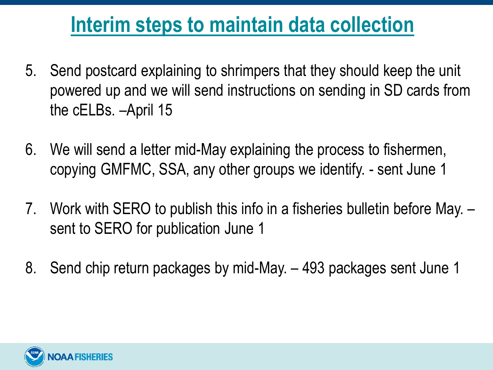#### **Interim steps to maintain data collection**

- 5. Send postcard explaining to shrimpers that they should keep the unit powered up and we will send instructions on sending in SD cards from the cELBs. –April 15
- 6. We will send a letter mid-May explaining the process to fishermen, copying GMFMC, SSA, any other groups we identify. - sent June 1
- 7. Work with SERO to publish this info in a fisheries bulletin before May. sent to SERO for publication June 1
- 8. Send chip return packages by mid-May. 493 packages sent June 1

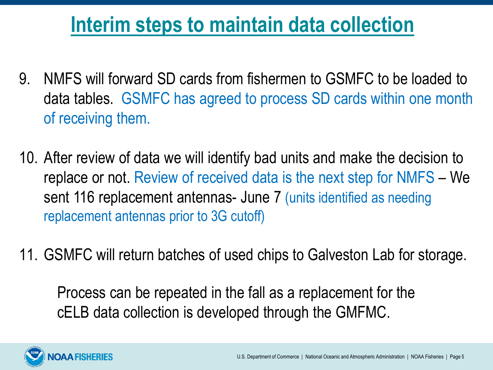#### **Interim steps to maintain data collection**

- 9. NMFS will forward SD cards from fishermen to GSMFC to be loaded to data tables. GSMFC has agreed to process SD cards within one month of receiving them.
- 10. After review of data we will identify bad units and make the decision to replace or not. Review of received data is the next step for NMFS – We sent 116 replacement antennas- June 7 (units identified as needing replacement antennas prior to 3G cutoff)
- 11. GSMFC will return batches of used chips to Galveston Lab for storage.

Process can be repeated in the fall as a replacement for the cELB data collection is developed through the GMFMC.

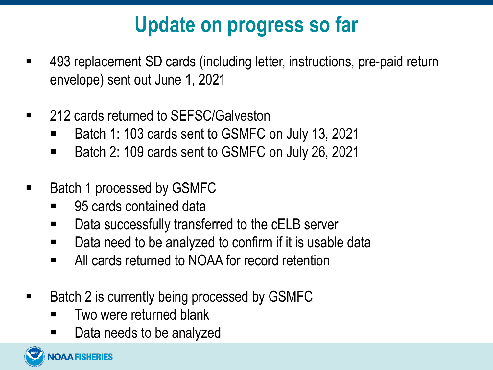## **Update on progress so far**

- 493 replacement SD cards (including letter, instructions, pre-paid return envelope) sent out June 1, 2021
- 212 cards returned to SEFSC/Galveston
	- Batch 1: 103 cards sent to GSMFC on July 13, 2021
	- Batch 2: 109 cards sent to GSMFC on July 26, 2021
- Batch 1 processed by GSMFC
	- 95 cards contained data
	- Data successfully transferred to the cELB server
	- Data need to be analyzed to confirm if it is usable data
	- All cards returned to NOAA for record retention
- Batch 2 is currently being processed by GSMFC
	- **Two were returned blank**
	- Data needs to be analyzed